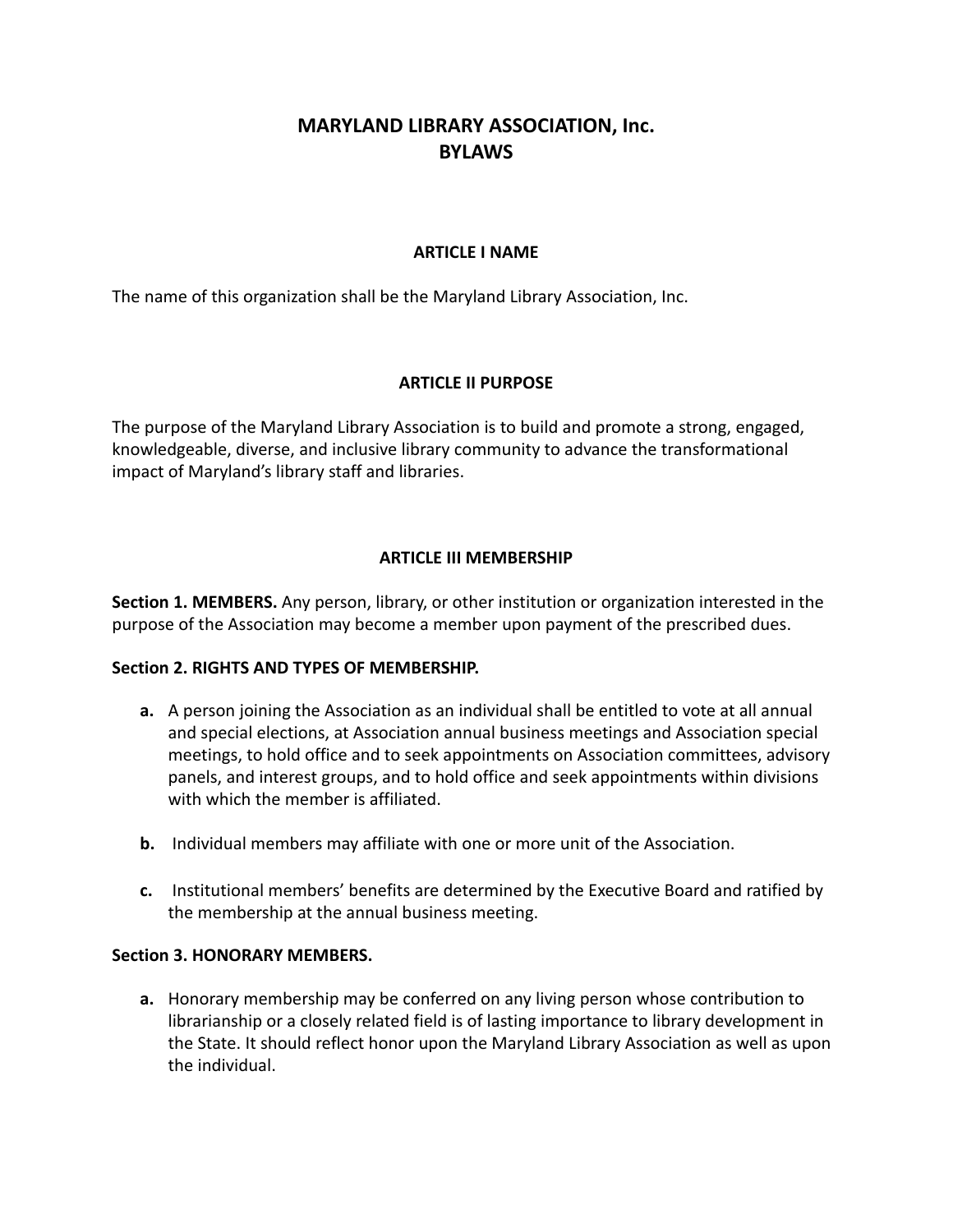# **MARYLAND LIBRARY ASSOCIATION, Inc. BYLAWS**

### **ARTICLE I NAME**

The name of this organization shall be the Maryland Library Association, Inc.

### **ARTICLE II PURPOSE**

The purpose of the Maryland Library Association is to build and promote a strong, engaged, knowledgeable, diverse, and inclusive library community to advance the transformational impact of Maryland's library staff and libraries.

### **ARTICLE III MEMBERSHIP**

**Section 1. MEMBERS.** Any person, library, or other institution or organization interested in the purpose of the Association may become a member upon payment of the prescribed dues.

#### **Section 2. RIGHTS AND TYPES OF MEMBERSHIP.**

- **a.** A person joining the Association as an individual shall be entitled to vote at all annual and special elections, at Association annual business meetings and Association special meetings, to hold office and to seek appointments on Association committees, advisory panels, and interest groups, and to hold office and seek appointments within divisions with which the member is affiliated.
- **b.** Individual members may affiliate with one or more unit of the Association.
- **c.** Institutional members' benefits are determined by the Executive Board and ratified by the membership at the annual business meeting.

#### **Section 3. HONORARY MEMBERS.**

**a.** Honorary membership may be conferred on any living person whose contribution to librarianship or a closely related field is of lasting importance to library development in the State. It should reflect honor upon the Maryland Library Association as well as upon the individual.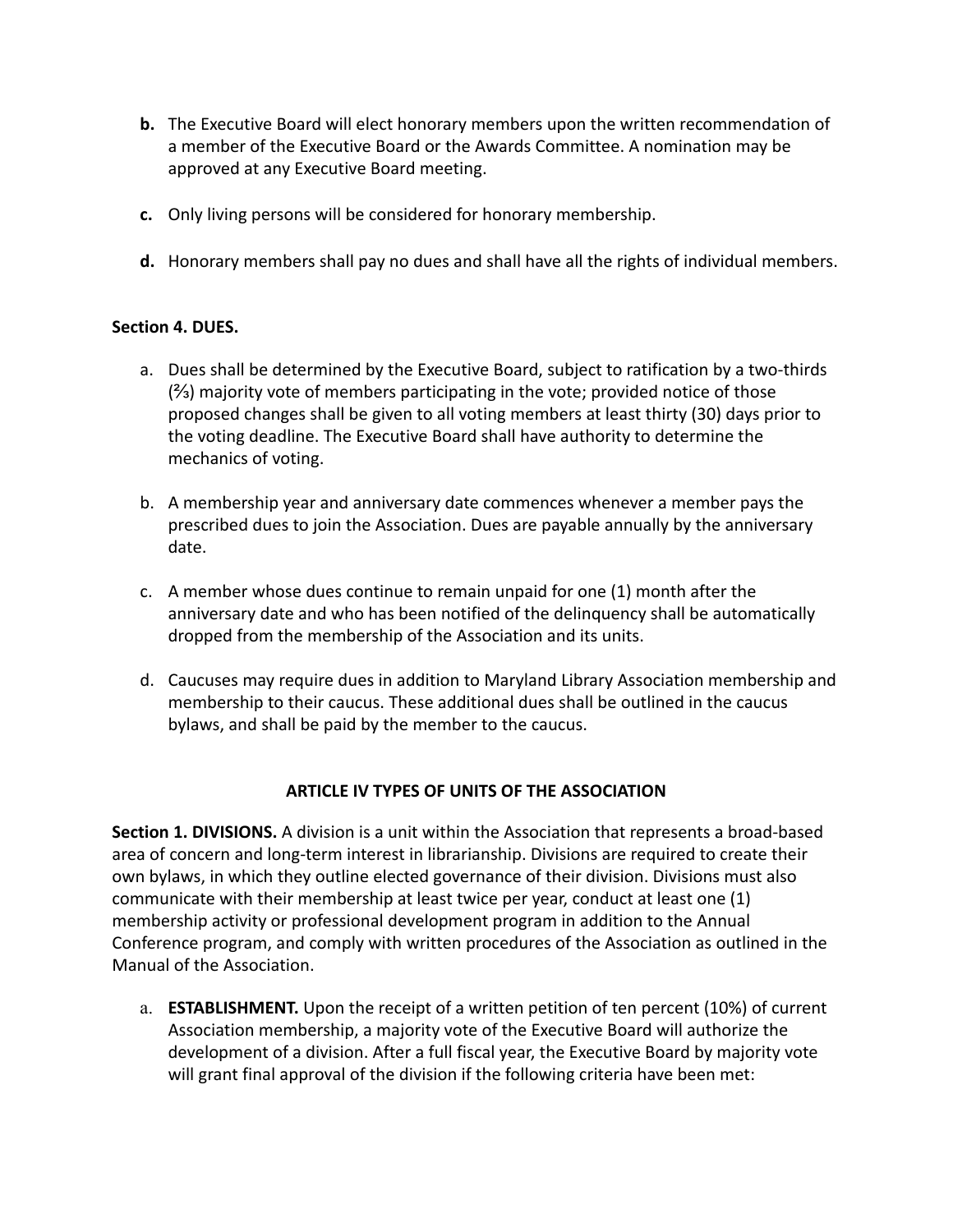- **b.** The Executive Board will elect honorary members upon the written recommendation of a member of the Executive Board or the Awards Committee. A nomination may be approved at any Executive Board meeting.
- **c.** Only living persons will be considered for honorary membership.
- **d.** Honorary members shall pay no dues and shall have all the rights of individual members.

### **Section 4. DUES.**

- a. Dues shall be determined by the Executive Board, subject to ratification by a two-thirds (⅔) majority vote of members participating in the vote; provided notice of those proposed changes shall be given to all voting members at least thirty (30) days prior to the voting deadline. The Executive Board shall have authority to determine the mechanics of voting.
- b. A membership year and anniversary date commences whenever a member pays the prescribed dues to join the Association. Dues are payable annually by the anniversary date.
- c. A member whose dues continue to remain unpaid for one (1) month after the anniversary date and who has been notified of the delinquency shall be automatically dropped from the membership of the Association and its units.
- d. Caucuses may require dues in addition to Maryland Library Association membership and membership to their caucus. These additional dues shall be outlined in the caucus bylaws, and shall be paid by the member to the caucus.

## **ARTICLE IV TYPES OF UNITS OF THE ASSOCIATION**

**Section 1. DIVISIONS.** A division is a unit within the Association that represents a broad-based area of concern and long-term interest in librarianship. Divisions are required to create their own bylaws, in which they outline elected governance of their division. Divisions must also communicate with their membership at least twice per year, conduct at least one (1) membership activity or professional development program in addition to the Annual Conference program, and comply with written procedures of the Association as outlined in the Manual of the Association.

a. **ESTABLISHMENT.** Upon the receipt of a written petition of ten percent (10%) of current Association membership, a majority vote of the Executive Board will authorize the development of a division. After a full fiscal year, the Executive Board by majority vote will grant final approval of the division if the following criteria have been met: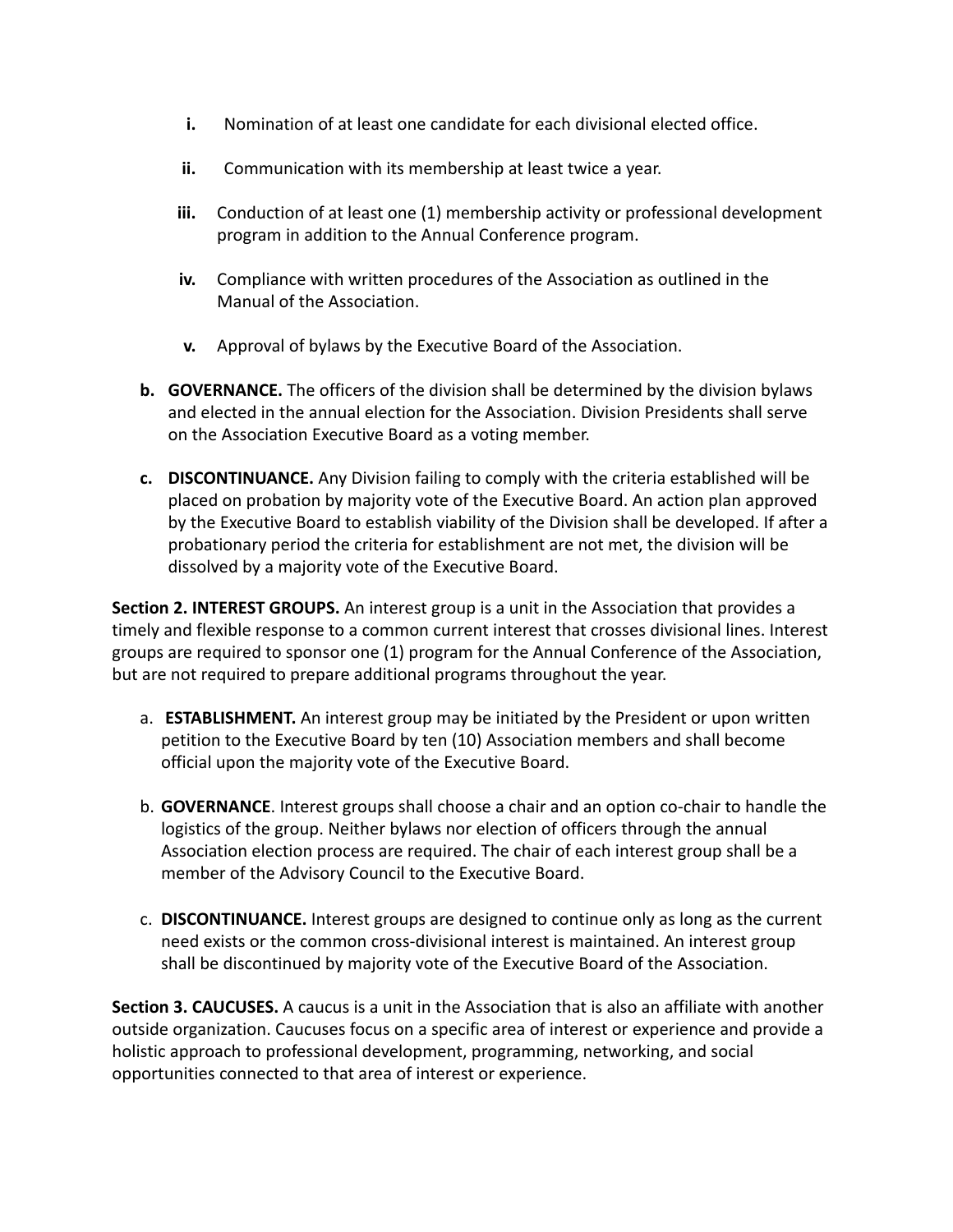- **i.** Nomination of at least one candidate for each divisional elected office.
- **ii.** Communication with its membership at least twice a year.
- **iii.** Conduction of at least one (1) membership activity or professional development program in addition to the Annual Conference program.
- **iv.** Compliance with written procedures of the Association as outlined in the Manual of the Association.
- **v.** Approval of bylaws by the Executive Board of the Association.
- **b. GOVERNANCE.** The officers of the division shall be determined by the division bylaws and elected in the annual election for the Association. Division Presidents shall serve on the Association Executive Board as a voting member.
- **c. DISCONTINUANCE.** Any Division failing to comply with the criteria established will be placed on probation by majority vote of the Executive Board. An action plan approved by the Executive Board to establish viability of the Division shall be developed. If after a probationary period the criteria for establishment are not met, the division will be dissolved by a majority vote of the Executive Board.

**Section 2. INTEREST GROUPS.** An interest group is a unit in the Association that provides a timely and flexible response to a common current interest that crosses divisional lines. Interest groups are required to sponsor one (1) program for the Annual Conference of the Association, but are not required to prepare additional programs throughout the year.

- a. **ESTABLISHMENT.** An interest group may be initiated by the President or upon written petition to the Executive Board by ten (10) Association members and shall become official upon the majority vote of the Executive Board.
- b. **GOVERNANCE**. Interest groups shall choose a chair and an option co-chair to handle the logistics of the group. Neither bylaws nor election of officers through the annual Association election process are required. The chair of each interest group shall be a member of the Advisory Council to the Executive Board.
- c. **DISCONTINUANCE.** Interest groups are designed to continue only as long as the current need exists or the common cross-divisional interest is maintained. An interest group shall be discontinued by majority vote of the Executive Board of the Association.

**Section 3. CAUCUSES.** A caucus is a unit in the Association that is also an affiliate with another outside organization. Caucuses focus on a specific area of interest or experience and provide a holistic approach to professional development, programming, networking, and social opportunities connected to that area of interest or experience.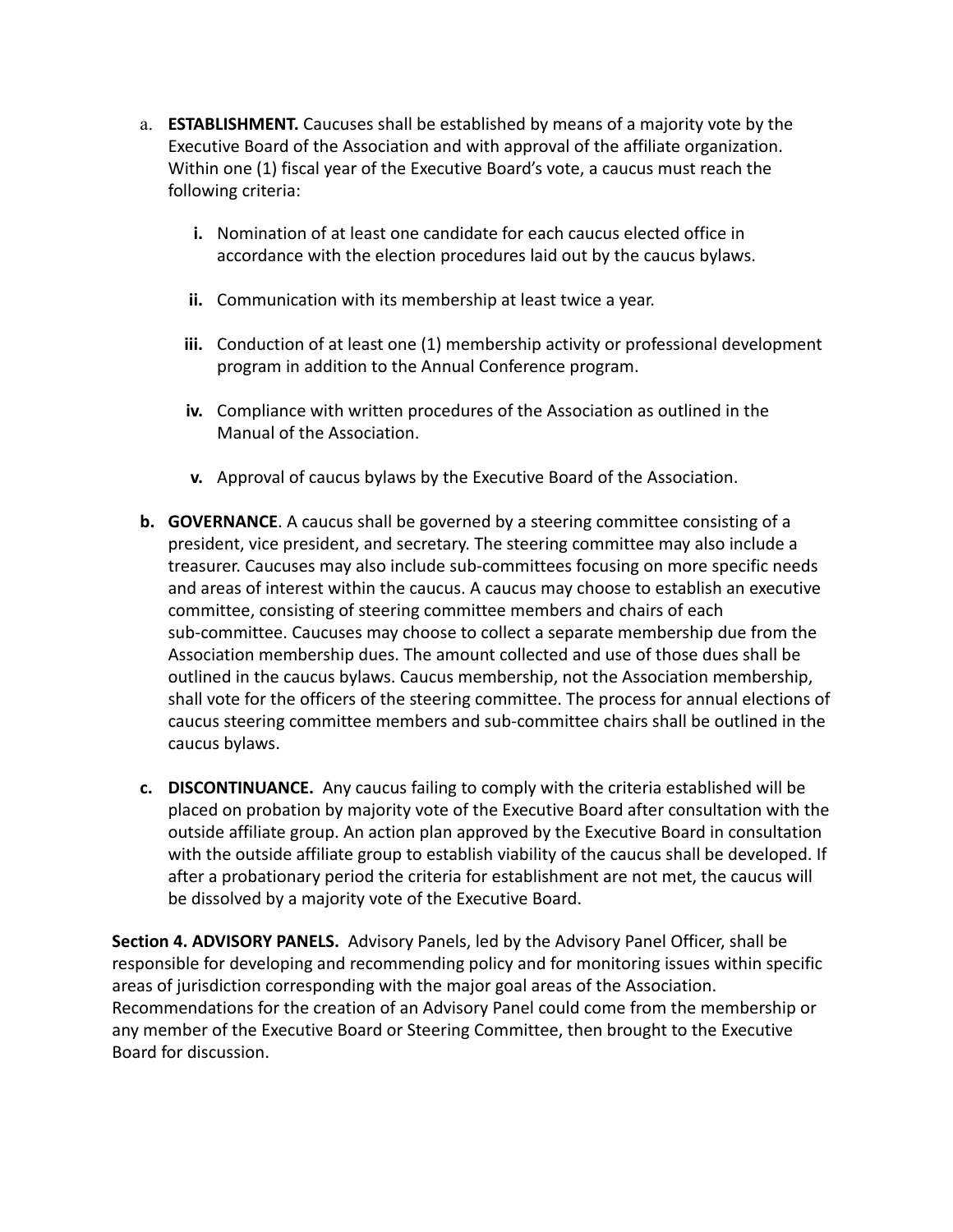- a. **ESTABLISHMENT.** Caucuses shall be established by means of a majority vote by the Executive Board of the Association and with approval of the affiliate organization. Within one (1) fiscal year of the Executive Board's vote, a caucus must reach the following criteria:
	- **i.** Nomination of at least one candidate for each caucus elected office in accordance with the election procedures laid out by the caucus bylaws.
	- **ii.** Communication with its membership at least twice a year.
	- **iii.** Conduction of at least one (1) membership activity or professional development program in addition to the Annual Conference program.
	- **iv.** Compliance with written procedures of the Association as outlined in the Manual of the Association.
	- **v.** Approval of caucus bylaws by the Executive Board of the Association.
- **b. GOVERNANCE**. A caucus shall be governed by a steering committee consisting of a president, vice president, and secretary. The steering committee may also include a treasurer. Caucuses may also include sub-committees focusing on more specific needs and areas of interest within the caucus. A caucus may choose to establish an executive committee, consisting of steering committee members and chairs of each sub-committee. Caucuses may choose to collect a separate membership due from the Association membership dues. The amount collected and use of those dues shall be outlined in the caucus bylaws. Caucus membership, not the Association membership, shall vote for the officers of the steering committee. The process for annual elections of caucus steering committee members and sub-committee chairs shall be outlined in the caucus bylaws.
- **c. DISCONTINUANCE.** Any caucus failing to comply with the criteria established will be placed on probation by majority vote of the Executive Board after consultation with the outside affiliate group. An action plan approved by the Executive Board in consultation with the outside affiliate group to establish viability of the caucus shall be developed. If after a probationary period the criteria for establishment are not met, the caucus will be dissolved by a majority vote of the Executive Board.

**Section 4. ADVISORY PANELS.** Advisory Panels, led by the Advisory Panel Officer, shall be responsible for developing and recommending policy and for monitoring issues within specific areas of jurisdiction corresponding with the major goal areas of the Association. Recommendations for the creation of an Advisory Panel could come from the membership or any member of the Executive Board or Steering Committee, then brought to the Executive Board for discussion.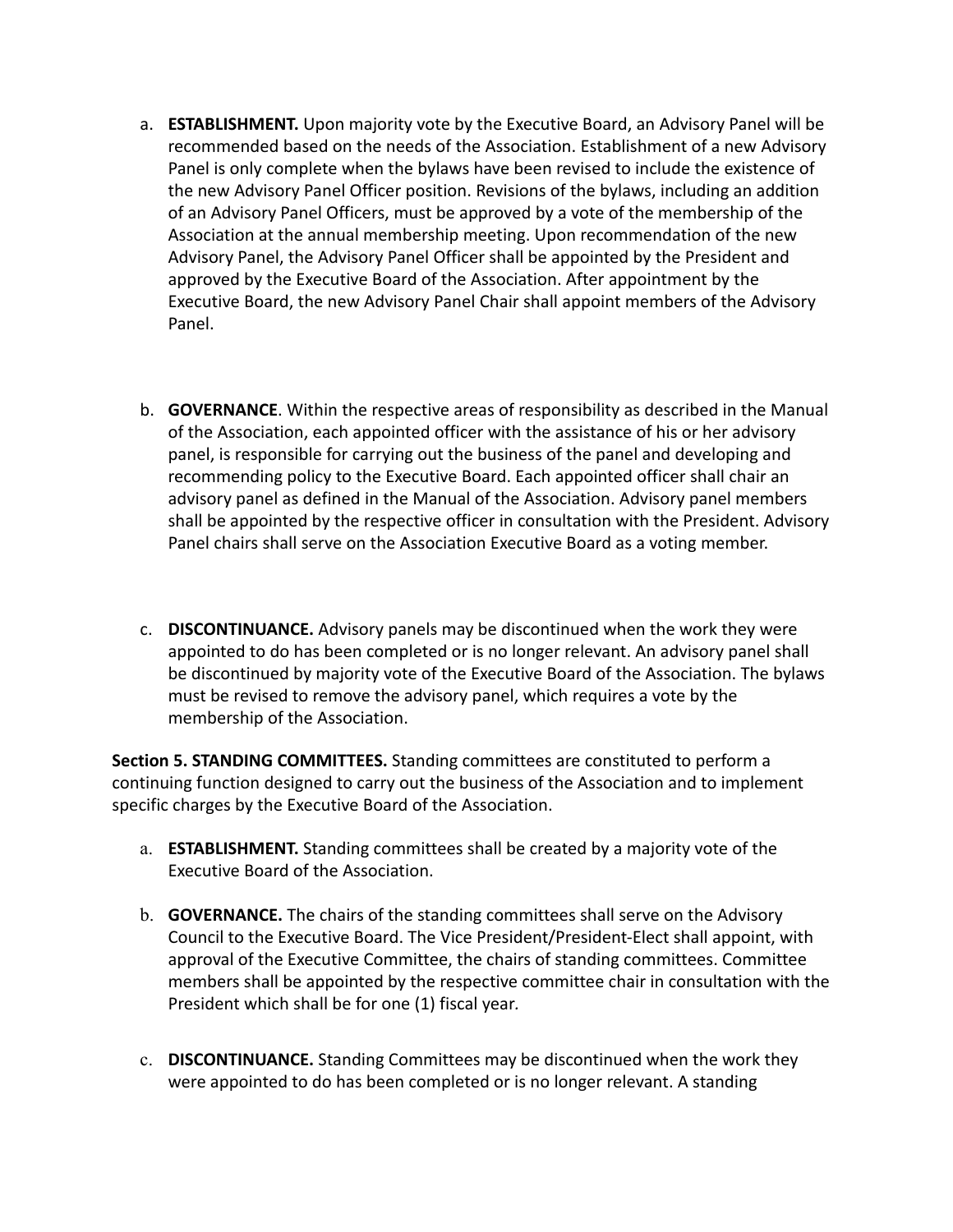- a. **ESTABLISHMENT.** Upon majority vote by the Executive Board, an Advisory Panel will be recommended based on the needs of the Association. Establishment of a new Advisory Panel is only complete when the bylaws have been revised to include the existence of the new Advisory Panel Officer position. Revisions of the bylaws, including an addition of an Advisory Panel Officers, must be approved by a vote of the membership of the Association at the annual membership meeting. Upon recommendation of the new Advisory Panel, the Advisory Panel Officer shall be appointed by the President and approved by the Executive Board of the Association. After appointment by the Executive Board, the new Advisory Panel Chair shall appoint members of the Advisory Panel.
- b. **GOVERNANCE**. Within the respective areas of responsibility as described in the Manual of the Association, each appointed officer with the assistance of his or her advisory panel, is responsible for carrying out the business of the panel and developing and recommending policy to the Executive Board. Each appointed officer shall chair an advisory panel as defined in the Manual of the Association. Advisory panel members shall be appointed by the respective officer in consultation with the President. Advisory Panel chairs shall serve on the Association Executive Board as a voting member.
- c. **DISCONTINUANCE.** Advisory panels may be discontinued when the work they were appointed to do has been completed or is no longer relevant. An advisory panel shall be discontinued by majority vote of the Executive Board of the Association. The bylaws must be revised to remove the advisory panel, which requires a vote by the membership of the Association.

**Section 5. STANDING COMMITTEES.** Standing committees are constituted to perform a continuing function designed to carry out the business of the Association and to implement specific charges by the Executive Board of the Association.

- a. **ESTABLISHMENT.** Standing committees shall be created by a majority vote of the Executive Board of the Association.
- b. **GOVERNANCE.** The chairs of the standing committees shall serve on the Advisory Council to the Executive Board. The Vice President/President-Elect shall appoint, with approval of the Executive Committee, the chairs of standing committees. Committee members shall be appointed by the respective committee chair in consultation with the President which shall be for one (1) fiscal year*.*
- c. **DISCONTINUANCE.** Standing Committees may be discontinued when the work they were appointed to do has been completed or is no longer relevant. A standing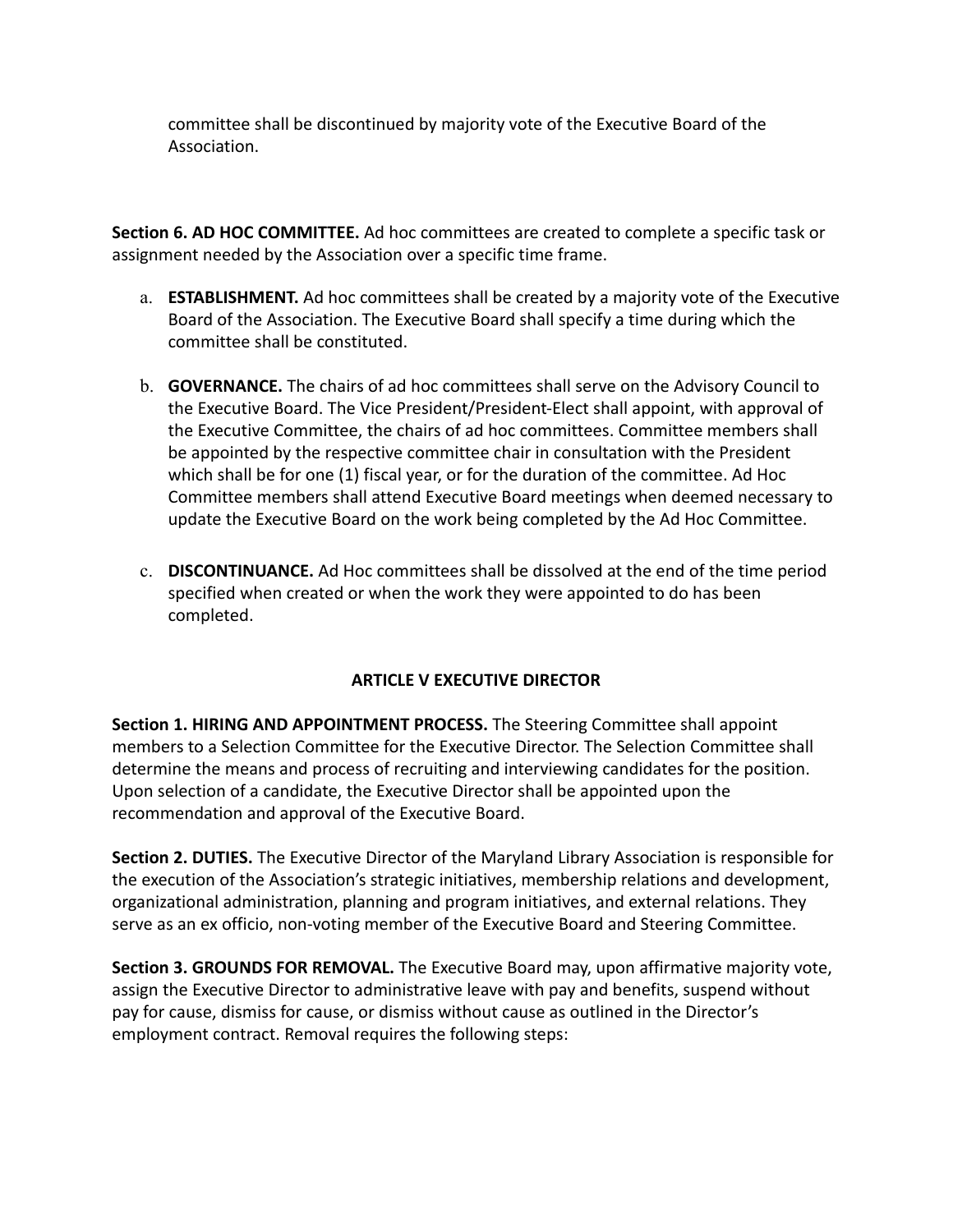committee shall be discontinued by majority vote of the Executive Board of the Association.

**Section 6. AD HOC COMMITTEE.** Ad hoc committees are created to complete a specific task or assignment needed by the Association over a specific time frame.

- a. **ESTABLISHMENT.** Ad hoc committees shall be created by a majority vote of the Executive Board of the Association. The Executive Board shall specify a time during which the committee shall be constituted.
- b. **GOVERNANCE.** The chairs of ad hoc committees shall serve on the Advisory Council to the Executive Board. The Vice President/President-Elect shall appoint, with approval of the Executive Committee, the chairs of ad hoc committees. Committee members shall be appointed by the respective committee chair in consultation with the President which shall be for one (1) fiscal year, or for the duration of the committee. Ad Hoc Committee members shall attend Executive Board meetings when deemed necessary to update the Executive Board on the work being completed by the Ad Hoc Committee.
- c. **DISCONTINUANCE.** Ad Hoc committees shall be dissolved at the end of the time period specified when created or when the work they were appointed to do has been completed.

## **ARTICLE V EXECUTIVE DIRECTOR**

**Section 1. HIRING AND APPOINTMENT PROCESS.** The Steering Committee shall appoint members to a Selection Committee for the Executive Director. The Selection Committee shall determine the means and process of recruiting and interviewing candidates for the position. Upon selection of a candidate, the Executive Director shall be appointed upon the recommendation and approval of the Executive Board.

**Section 2. DUTIES.** The Executive Director of the Maryland Library Association is responsible for the execution of the Association's strategic initiatives, membership relations and development, organizational administration, planning and program initiatives, and external relations. They serve as an ex officio, non-voting member of the Executive Board and Steering Committee.

**Section 3. GROUNDS FOR REMOVAL.** The Executive Board may, upon affirmative majority vote, assign the Executive Director to administrative leave with pay and benefits, suspend without pay for cause, dismiss for cause, or dismiss without cause as outlined in the Director's employment contract. Removal requires the following steps: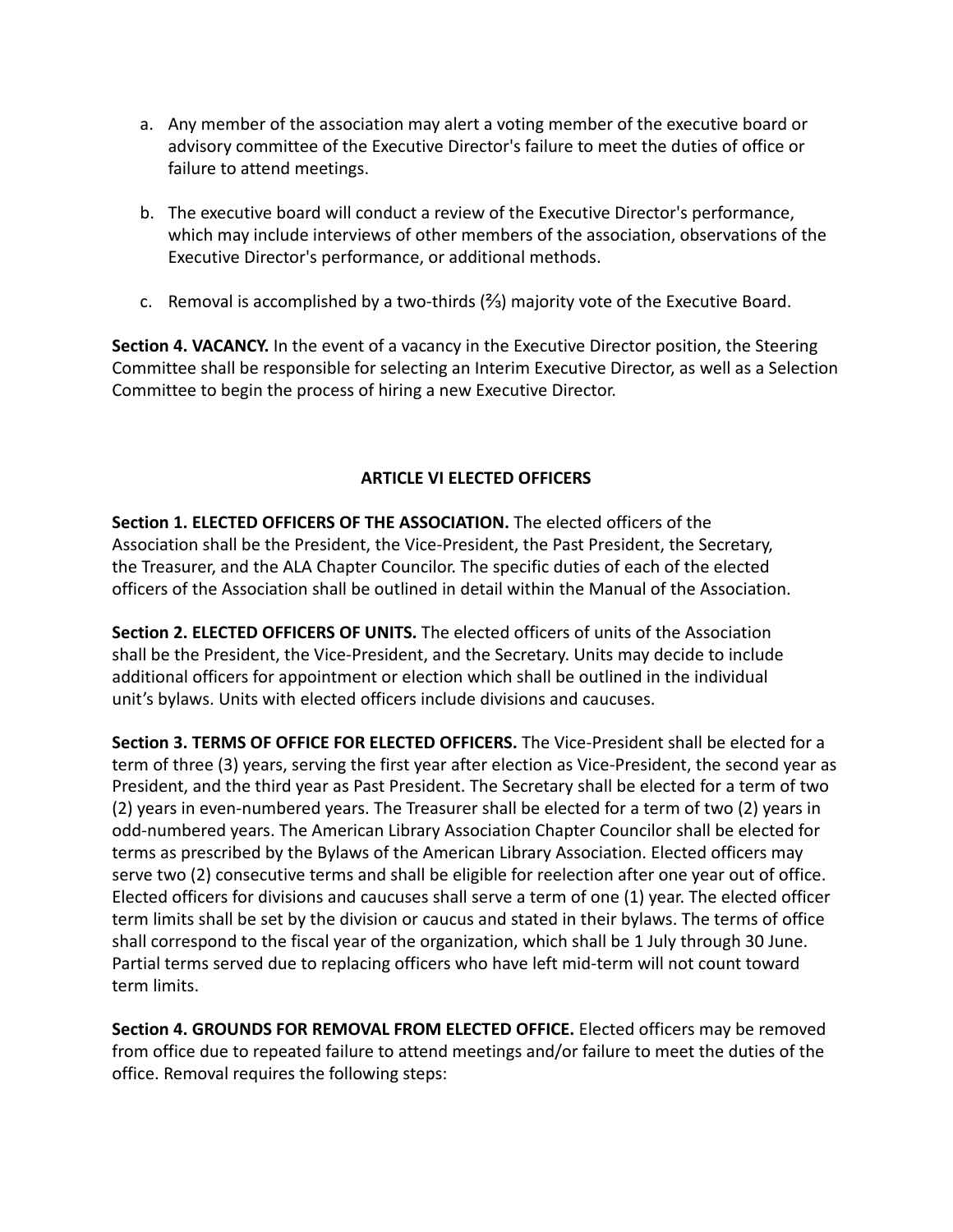- a. Any member of the association may alert a voting member of the executive board or advisory committee of the Executive Director's failure to meet the duties of office or failure to attend meetings.
- b. The executive board will conduct a review of the Executive Director's performance, which may include interviews of other members of the association, observations of the Executive Director's performance, or additional methods.
- c. Removal is accomplished by a two-thirds  $(\frac{2}{3})$  majority vote of the Executive Board.

**Section 4. VACANCY.** In the event of a vacancy in the Executive Director position, the Steering Committee shall be responsible for selecting an Interim Executive Director, as well as a Selection Committee to begin the process of hiring a new Executive Director.

## **ARTICLE VI ELECTED OFFICERS**

**Section 1. ELECTED OFFICERS OF THE ASSOCIATION.** The elected officers of the Association shall be the President, the Vice-President, the Past President, the Secretary, the Treasurer, and the ALA Chapter Councilor. The specific duties of each of the elected officers of the Association shall be outlined in detail within the Manual of the Association.

**Section 2. ELECTED OFFICERS OF UNITS.** The elected officers of units of the Association shall be the President, the Vice-President, and the Secretary. Units may decide to include additional officers for appointment or election which shall be outlined in the individual unit's bylaws. Units with elected officers include divisions and caucuses.

**Section 3. TERMS OF OFFICE FOR ELECTED OFFICERS.** The Vice-President shall be elected for a term of three (3) years, serving the first year after election as Vice-President, the second year as President, and the third year as Past President. The Secretary shall be elected for a term of two (2) years in even-numbered years. The Treasurer shall be elected for a term of two (2) years in odd-numbered years. The American Library Association Chapter Councilor shall be elected for terms as prescribed by the Bylaws of the American Library Association. Elected officers may serve two (2) consecutive terms and shall be eligible for reelection after one year out of office. Elected officers for divisions and caucuses shall serve a term of one (1) year. The elected officer term limits shall be set by the division or caucus and stated in their bylaws. The terms of office shall correspond to the fiscal year of the organization, which shall be 1 July through 30 June. Partial terms served due to replacing officers who have left mid-term will not count toward term limits.

**Section 4. GROUNDS FOR REMOVAL FROM ELECTED OFFICE.** Elected officers may be removed from office due to repeated failure to attend meetings and/or failure to meet the duties of the office. Removal requires the following steps: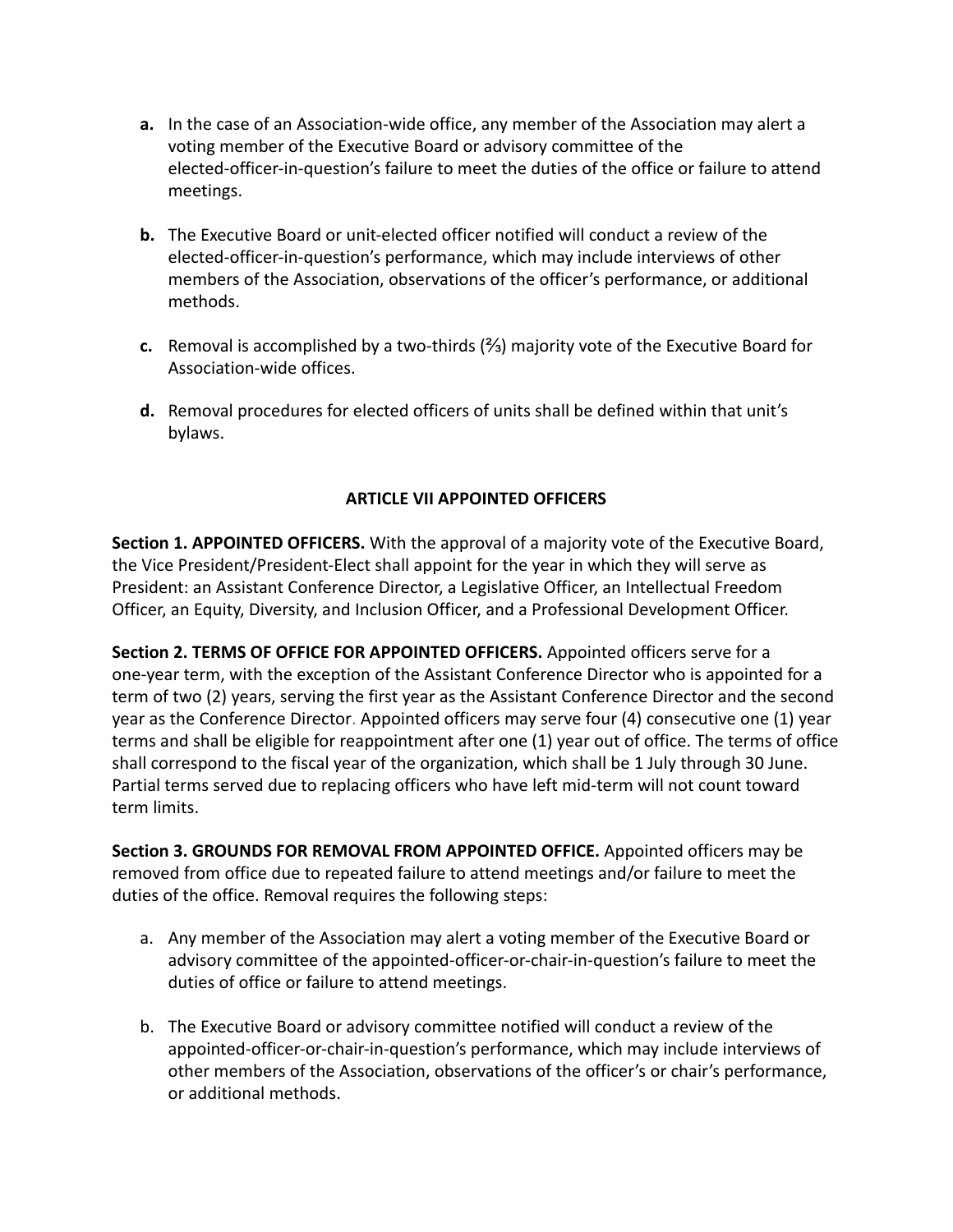- **a.** In the case of an Association-wide office, any member of the Association may alert a voting member of the Executive Board or advisory committee of the elected-officer-in-question's failure to meet the duties of the office or failure to attend meetings.
- **b.** The Executive Board or unit-elected officer notified will conduct a review of the elected-officer-in-question's performance, which may include interviews of other members of the Association, observations of the officer's performance, or additional methods.
- **c.** Removal is accomplished by a two-thirds (⅔) majority vote of the Executive Board for Association-wide offices.
- **d.** Removal procedures for elected officers of units shall be defined within that unit's bylaws.

## **ARTICLE VII APPOINTED OFFICERS**

**Section 1. APPOINTED OFFICERS.** With the approval of a majority vote of the Executive Board, the Vice President/President-Elect shall appoint for the year in which they will serve as President: an Assistant Conference Director, a Legislative Officer, an Intellectual Freedom Officer, an Equity, Diversity, and Inclusion Officer, and a Professional Development Officer.

**Section 2. TERMS OF OFFICE FOR APPOINTED OFFICERS.** Appointed officers serve for a one-year term, with the exception of the Assistant Conference Director who is appointed for a term of two (2) years, serving the first year as the Assistant Conference Director and the second year as the Conference Director. Appointed officers may serve four (4) consecutive one (1) year terms and shall be eligible for reappointment after one (1) year out of office. The terms of office shall correspond to the fiscal year of the organization, which shall be 1 July through 30 June. Partial terms served due to replacing officers who have left mid-term will not count toward term limits.

**Section 3. GROUNDS FOR REMOVAL FROM APPOINTED OFFICE.** Appointed officers may be removed from office due to repeated failure to attend meetings and/or failure to meet the duties of the office. Removal requires the following steps:

- a. Any member of the Association may alert a voting member of the Executive Board or advisory committee of the appointed-officer-or-chair-in-question's failure to meet the duties of office or failure to attend meetings.
- b. The Executive Board or advisory committee notified will conduct a review of the appointed-officer-or-chair-in-question's performance, which may include interviews of other members of the Association, observations of the officer's or chair's performance, or additional methods.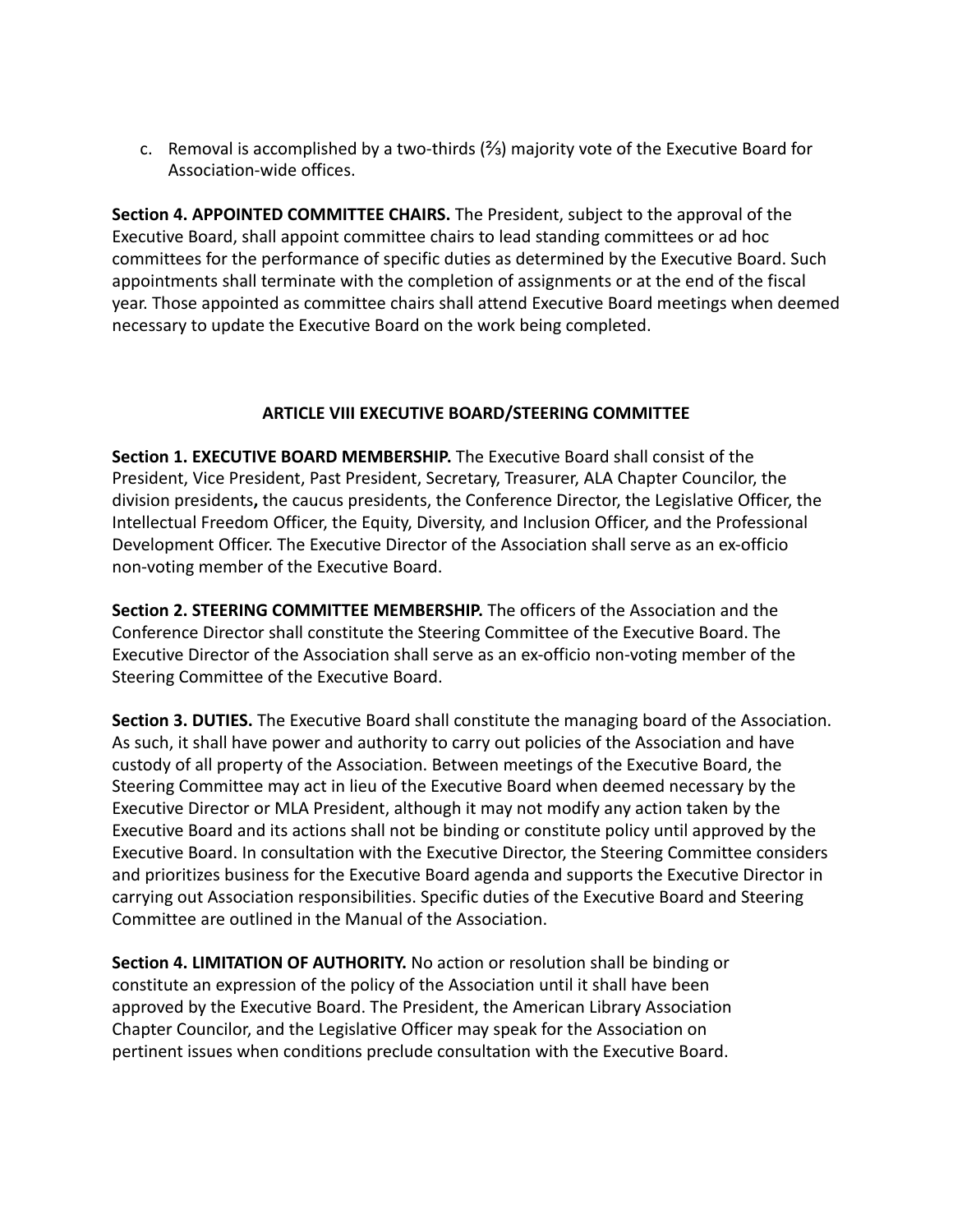c. Removal is accomplished by a two-thirds  $(½)$  majority vote of the Executive Board for Association-wide offices.

**Section 4. APPOINTED COMMITTEE CHAIRS.** The President, subject to the approval of the Executive Board, shall appoint committee chairs to lead standing committees or ad hoc committees for the performance of specific duties as determined by the Executive Board. Such appointments shall terminate with the completion of assignments or at the end of the fiscal year. Those appointed as committee chairs shall attend Executive Board meetings when deemed necessary to update the Executive Board on the work being completed.

## **ARTICLE VIII EXECUTIVE BOARD/STEERING COMMITTEE**

**Section 1. EXECUTIVE BOARD MEMBERSHIP.** The Executive Board shall consist of the President, Vice President, Past President, Secretary, Treasurer, ALA Chapter Councilor, the division presidents**,** the caucus presidents, the Conference Director, the Legislative Officer, the Intellectual Freedom Officer, the Equity, Diversity, and Inclusion Officer, and the Professional Development Officer. The Executive Director of the Association shall serve as an ex-officio non-voting member of the Executive Board.

**Section 2. STEERING COMMITTEE MEMBERSHIP.** The officers of the Association and the Conference Director shall constitute the Steering Committee of the Executive Board. The Executive Director of the Association shall serve as an ex-officio non-voting member of the Steering Committee of the Executive Board.

**Section 3. DUTIES.** The Executive Board shall constitute the managing board of the Association. As such, it shall have power and authority to carry out policies of the Association and have custody of all property of the Association. Between meetings of the Executive Board, the Steering Committee may act in lieu of the Executive Board when deemed necessary by the Executive Director or MLA President, although it may not modify any action taken by the Executive Board and its actions shall not be binding or constitute policy until approved by the Executive Board. In consultation with the Executive Director, the Steering Committee considers and prioritizes business for the Executive Board agenda and supports the Executive Director in carrying out Association responsibilities. Specific duties of the Executive Board and Steering Committee are outlined in the Manual of the Association.

**Section 4. LIMITATION OF AUTHORITY.** No action or resolution shall be binding or constitute an expression of the policy of the Association until it shall have been approved by the Executive Board. The President, the American Library Association Chapter Councilor, and the Legislative Officer may speak for the Association on pertinent issues when conditions preclude consultation with the Executive Board.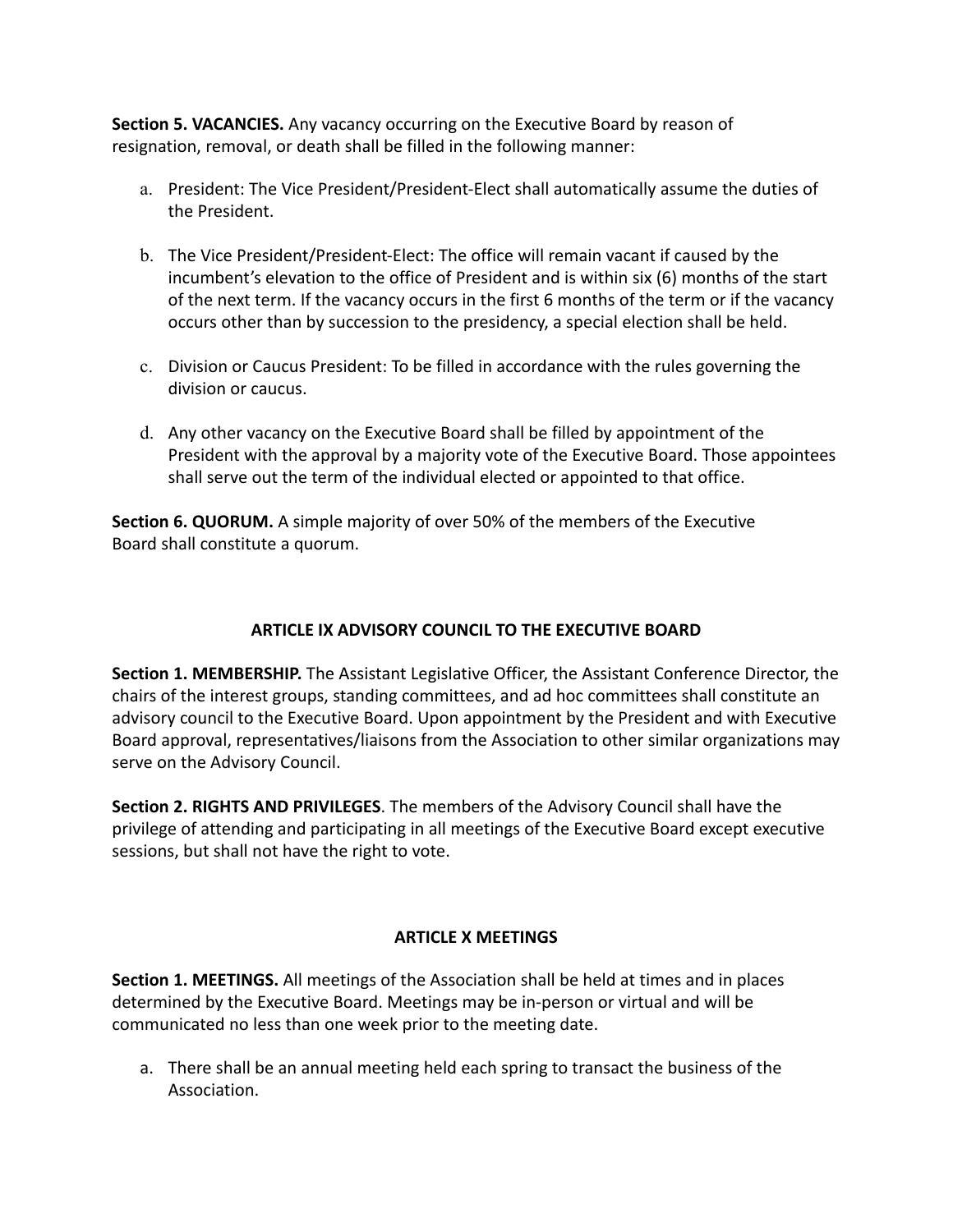**Section 5. VACANCIES.** Any vacancy occurring on the Executive Board by reason of resignation, removal, or death shall be filled in the following manner:

- a. President: The Vice President/President-Elect shall automatically assume the duties of the President.
- b. The Vice President/President-Elect: The office will remain vacant if caused by the incumbent's elevation to the office of President and is within six (6) months of the start of the next term. If the vacancy occurs in the first 6 months of the term or if the vacancy occurs other than by succession to the presidency, a special election shall be held.
- c. Division or Caucus President: To be filled in accordance with the rules governing the division or caucus.
- d. Any other vacancy on the Executive Board shall be filled by appointment of the President with the approval by a majority vote of the Executive Board. Those appointees shall serve out the term of the individual elected or appointed to that office.

**Section 6. QUORUM.** A simple majority of over 50% of the members of the Executive Board shall constitute a quorum.

## **ARTICLE IX ADVISORY COUNCIL TO THE EXECUTIVE BOARD**

**Section 1. MEMBERSHIP.** The Assistant Legislative Officer, the Assistant Conference Director, the chairs of the interest groups, standing committees, and ad hoc committees shall constitute an advisory council to the Executive Board. Upon appointment by the President and with Executive Board approval, representatives/liaisons from the Association to other similar organizations may serve on the Advisory Council.

**Section 2. RIGHTS AND PRIVILEGES**. The members of the Advisory Council shall have the privilege of attending and participating in all meetings of the Executive Board except executive sessions, but shall not have the right to vote.

## **ARTICLE X MEETINGS**

**Section 1. MEETINGS.** All meetings of the Association shall be held at times and in places determined by the Executive Board. Meetings may be in-person or virtual and will be communicated no less than one week prior to the meeting date.

a. There shall be an annual meeting held each spring to transact the business of the Association.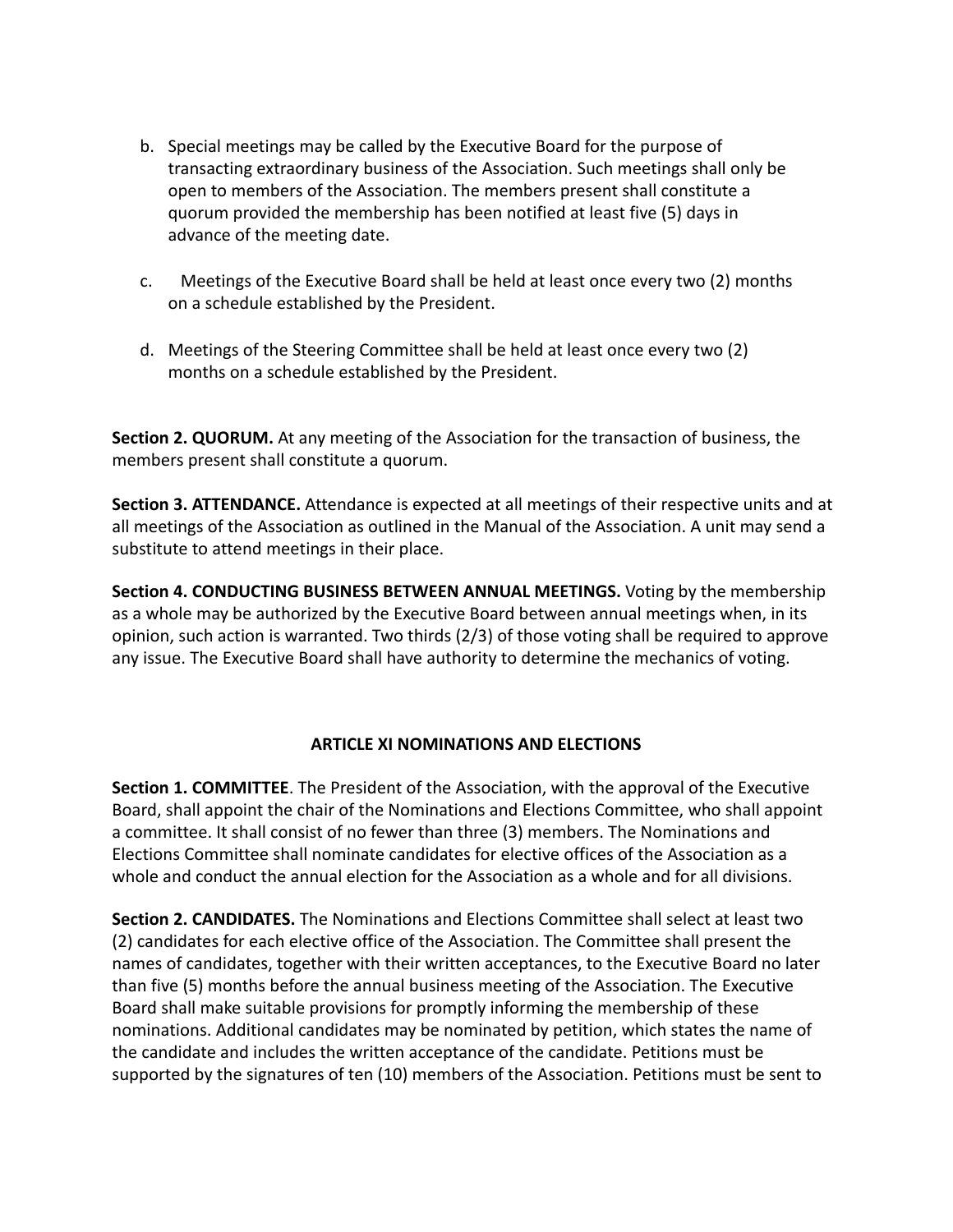- b. Special meetings may be called by the Executive Board for the purpose of transacting extraordinary business of the Association. Such meetings shall only be open to members of the Association. The members present shall constitute a quorum provided the membership has been notified at least five (5) days in advance of the meeting date.
- c. Meetings of the Executive Board shall be held at least once every two (2) months on a schedule established by the President.
- d. Meetings of the Steering Committee shall be held at least once every two (2) months on a schedule established by the President.

**Section 2. QUORUM.** At any meeting of the Association for the transaction of business, the members present shall constitute a quorum.

**Section 3. ATTENDANCE.** Attendance is expected at all meetings of their respective units and at all meetings of the Association as outlined in the Manual of the Association. A unit may send a substitute to attend meetings in their place.

**Section 4. CONDUCTING BUSINESS BETWEEN ANNUAL MEETINGS.** Voting by the membership as a whole may be authorized by the Executive Board between annual meetings when, in its opinion, such action is warranted. Two thirds (2/3) of those voting shall be required to approve any issue. The Executive Board shall have authority to determine the mechanics of voting.

## **ARTICLE XI NOMINATIONS AND ELECTIONS**

**Section 1. COMMITTEE**. The President of the Association, with the approval of the Executive Board, shall appoint the chair of the Nominations and Elections Committee, who shall appoint a committee. It shall consist of no fewer than three (3) members. The Nominations and Elections Committee shall nominate candidates for elective offices of the Association as a whole and conduct the annual election for the Association as a whole and for all divisions.

**Section 2. CANDIDATES.** The Nominations and Elections Committee shall select at least two (2) candidates for each elective office of the Association. The Committee shall present the names of candidates, together with their written acceptances, to the Executive Board no later than five (5) months before the annual business meeting of the Association. The Executive Board shall make suitable provisions for promptly informing the membership of these nominations. Additional candidates may be nominated by petition, which states the name of the candidate and includes the written acceptance of the candidate. Petitions must be supported by the signatures of ten (10) members of the Association. Petitions must be sent to